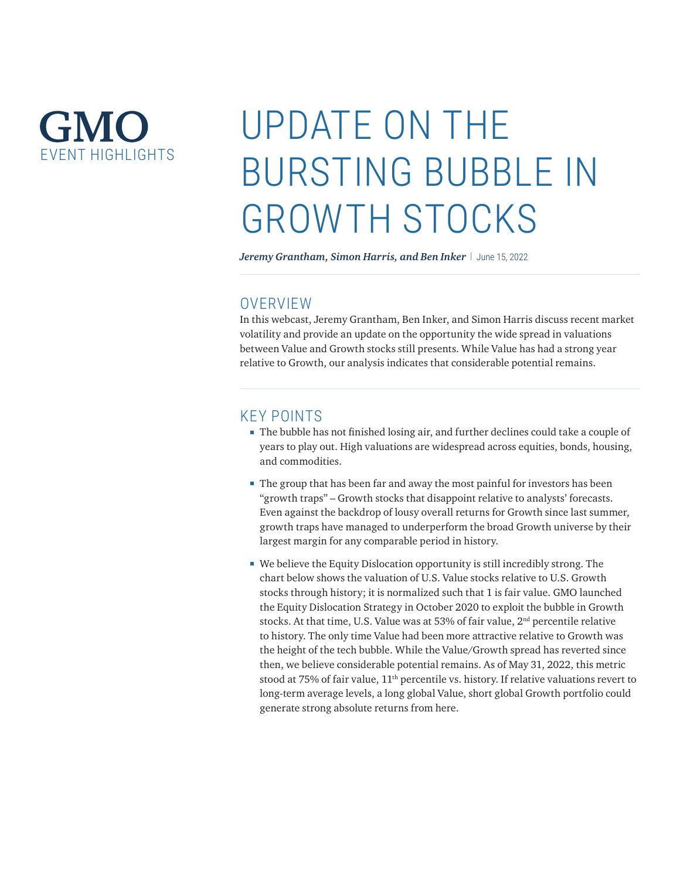# GMO **EVENT HIGHI IGHTS**

# UPDATE ON THE BURSTING BUBBLE IN GROWTH STOCKS

*Jeremy Grantham, Simon Harris, and Ben Inker* | June 15, 2022

# **OVERVIEW**

In this webcast, Jeremy Grantham, Ben Inker, and Simon Harris discuss recent market volatility and provide an update on the opportunity the wide spread in valuations between Value and Growth stocks still presents. While Value has had a strong year relative to Growth, our analysis indicates that considerable potential remains.

### KEY POINTS

- The bubble has not finished losing air, and further declines could take a couple of years to play out. High valuations are widespread across equities, bonds, housing, and commodities.
- The group that has been far and away the most painful for investors has been "growth traps" – Growth stocks that disappoint relative to analysts' forecasts. Even against the backdrop of lousy overall returns for Growth since last summer, growth traps have managed to underperform the broad Growth universe by their largest margin for any comparable period in history.
- We believe the Equity Dislocation opportunity is still incredibly strong. The chart below shows the valuation of U.S. Value stocks relative to U.S. Growth stocks through history; it is normalized such that 1 is fair value. GMO launched the Equity Dislocation Strategy in October 2020 to exploit the bubble in Growth stocks. At that time, U.S. Value was at 53% of fair value, 2<sup>nd</sup> percentile relative to history. The only time Value had been more attractive relative to Growth was the height of the tech bubble. While the Value/Growth spread has reverted since then, we believe considerable potential remains. As of May 31, 2022, this metric stood at 75% of fair value, 11<sup>th</sup> percentile vs. history. If relative valuations revert to long-term average levels, a long global Value, short global Growth portfolio could generate strong absolute returns from here.